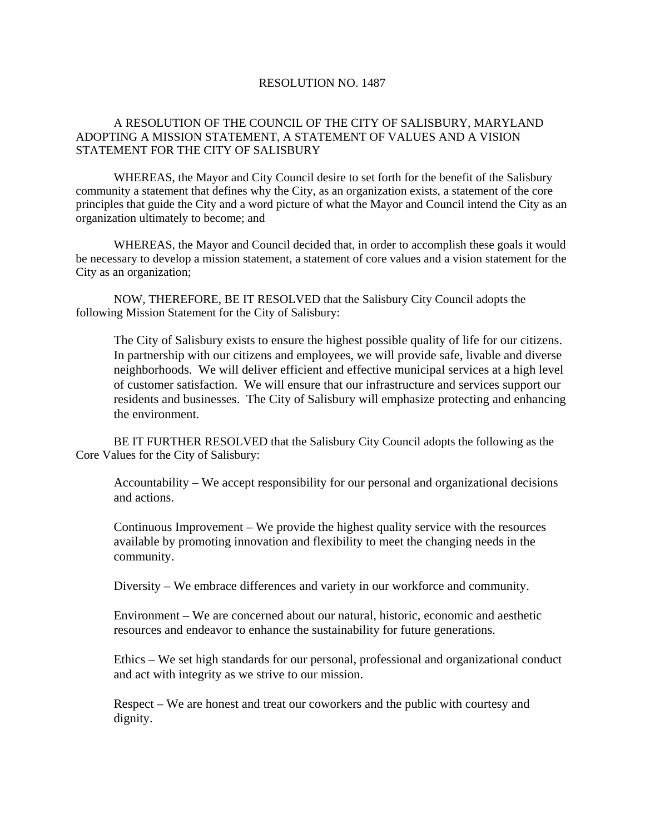## RESOLUTION NO. 1487

## A RESOLUTION OF THE COUNCIL OF THE CITY OF SALISBURY, MARYLAND ADOPTING A MISSION STATEMENT, A STATEMENT OF VALUES AND A VISION STATEMENT FOR THE CITY OF SALISBURY

WHEREAS, the Mayor and City Council desire to set forth for the benefit of the Salisbury community a statement that defines why the City, as an organization exists, a statement of the core principles that guide the City and a word picture of what the Mayor and Council intend the City as an organization ultimately to become; and

WHEREAS, the Mayor and Council decided that, in order to accomplish these goals it would be necessary to develop a mission statement, a statement of core values and a vision statement for the City as an organization;

NOW, THEREFORE, BE IT RESOLVED that the Salisbury City Council adopts the following Mission Statement for the City of Salisbury:

The City of Salisbury exists to ensure the highest possible quality of life for our citizens. In partnership with our citizens and employees, we will provide safe, livable and diverse neighborhoods. We will deliver efficient and effective municipal services at a high level of customer satisfaction. We will ensure that our infrastructure and services support our residents and businesses. The City of Salisbury will emphasize protecting and enhancing the environment.

BE IT FURTHER RESOLVED that the Salisbury City Council adopts the following as the Core Values for the City of Salisbury:

Accountability – We accept responsibility for our personal and organizational decisions and actions.

Continuous Improvement – We provide the highest quality service with the resources available by promoting innovation and flexibility to meet the changing needs in the community.

Diversity – We embrace differences and variety in our workforce and community.

Environment – We are concerned about our natural, historic, economic and aesthetic resources and endeavor to enhance the sustainability for future generations.

Ethics – We set high standards for our personal, professional and organizational conduct and act with integrity as we strive to our mission.

Respect – We are honest and treat our coworkers and the public with courtesy and dignity.